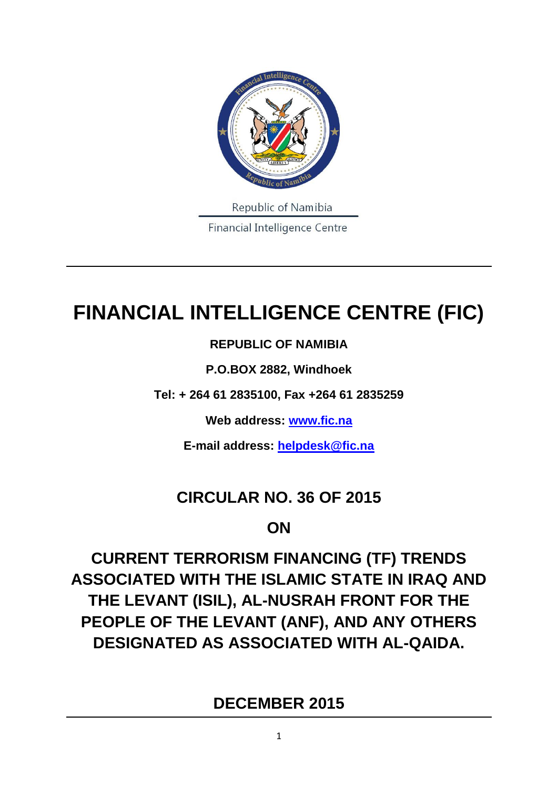

# **FINANCIAL INTELLIGENCE CENTRE (FIC)**

## **REPUBLIC OF NAMIBIA**

**P.O.BOX 2882, Windhoek**

**Tel: + 264 61 2835100, Fax +264 61 2835259**

**Web address: [www.fic.na](http://www.fic.na/)**

**E-mail address: [helpdesk@fic.na](mailto:helpdesk@fic.na)**

# **CIRCULAR NO. 36 OF 2015**

# **ON**

**CURRENT TERRORISM FINANCING (TF) TRENDS ASSOCIATED WITH THE ISLAMIC STATE IN IRAQ AND THE LEVANT (ISIL), AL-NUSRAH FRONT FOR THE PEOPLE OF THE LEVANT (ANF), AND ANY OTHERS DESIGNATED AS ASSOCIATED WITH AL-QAIDA.**

**DECEMBER 2015**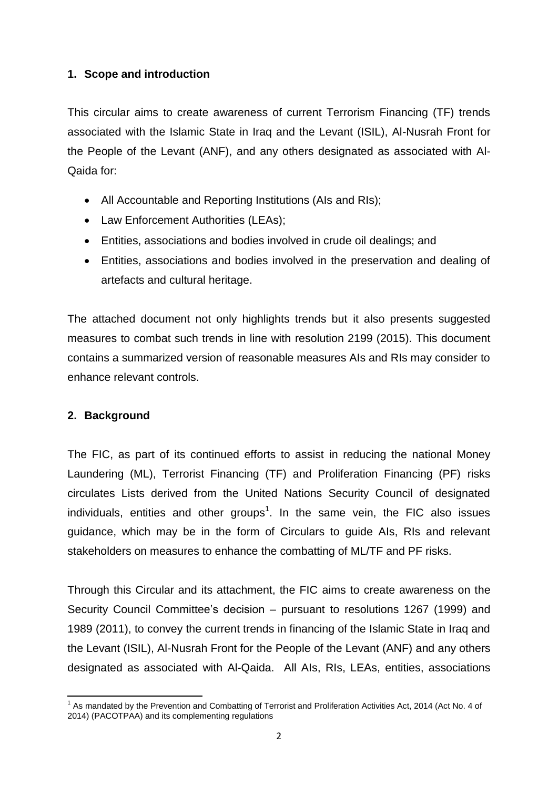#### **1. Scope and introduction**

This circular aims to create awareness of current Terrorism Financing (TF) trends associated with the Islamic State in Iraq and the Levant (ISIL), Al-Nusrah Front for the People of the Levant (ANF), and any others designated as associated with Al-Qaida for:

- All Accountable and Reporting Institutions (AIs and RIs);
- Law Enforcement Authorities (LEAs);
- Entities, associations and bodies involved in crude oil dealings; and
- Entities, associations and bodies involved in the preservation and dealing of artefacts and cultural heritage.

The attached document not only highlights trends but it also presents suggested measures to combat such trends in line with resolution 2199 (2015). This document contains a summarized version of reasonable measures AIs and RIs may consider to enhance relevant controls.

#### **2. Background**

The FIC, as part of its continued efforts to assist in reducing the national Money Laundering (ML), Terrorist Financing (TF) and Proliferation Financing (PF) risks circulates Lists derived from the United Nations Security Council of designated individuals, entities and other groups<sup>1</sup>. In the same vein, the FIC also issues guidance, which may be in the form of Circulars to guide AIs, RIs and relevant stakeholders on measures to enhance the combatting of ML/TF and PF risks.

Through this Circular and its attachment, the FIC aims to create awareness on the Security Council Committee's decision – pursuant to resolutions 1267 (1999) and 1989 (2011), to convey the current trends in financing of the Islamic State in Iraq and the Levant (ISIL), Al-Nusrah Front for the People of the Levant (ANF) and any others designated as associated with Al-Qaida. All AIs, RIs, LEAs, entities, associations

**<sup>.</sup>**  $1$  As mandated by the Prevention and Combatting of Terrorist and Proliferation Activities Act, 2014 (Act No. 4 of 2014) (PACOTPAA) and its complementing regulations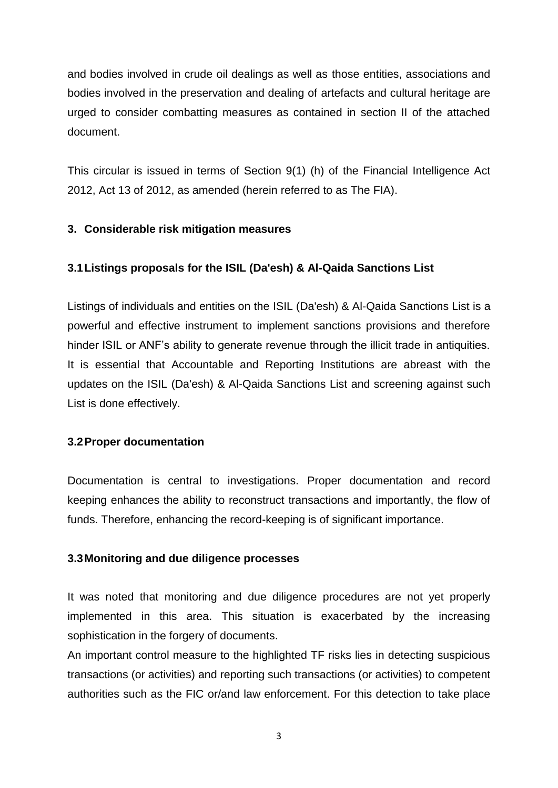and bodies involved in crude oil dealings as well as those entities, associations and bodies involved in the preservation and dealing of artefacts and cultural heritage are urged to consider combatting measures as contained in section II of the attached document.

This circular is issued in terms of Section 9(1) (h) of the Financial Intelligence Act 2012, Act 13 of 2012, as amended (herein referred to as The FIA).

#### **3. Considerable risk mitigation measures**

#### **3.1Listings proposals for the ISIL (Da'esh) & Al-Qaida Sanctions List**

Listings of individuals and entities on the ISIL (Da'esh) & Al-Qaida Sanctions List is a powerful and effective instrument to implement sanctions provisions and therefore hinder ISIL or ANF's ability to generate revenue through the illicit trade in antiquities. It is essential that Accountable and Reporting Institutions are abreast with the updates on the ISIL (Da'esh) & Al-Qaida Sanctions List and screening against such List is done effectively.

#### **3.2Proper documentation**

Documentation is central to investigations. Proper documentation and record keeping enhances the ability to reconstruct transactions and importantly, the flow of funds. Therefore, enhancing the record-keeping is of significant importance.

#### **3.3Monitoring and due diligence processes**

It was noted that monitoring and due diligence procedures are not yet properly implemented in this area. This situation is exacerbated by the increasing sophistication in the forgery of documents.

An important control measure to the highlighted TF risks lies in detecting suspicious transactions (or activities) and reporting such transactions (or activities) to competent authorities such as the FIC or/and law enforcement. For this detection to take place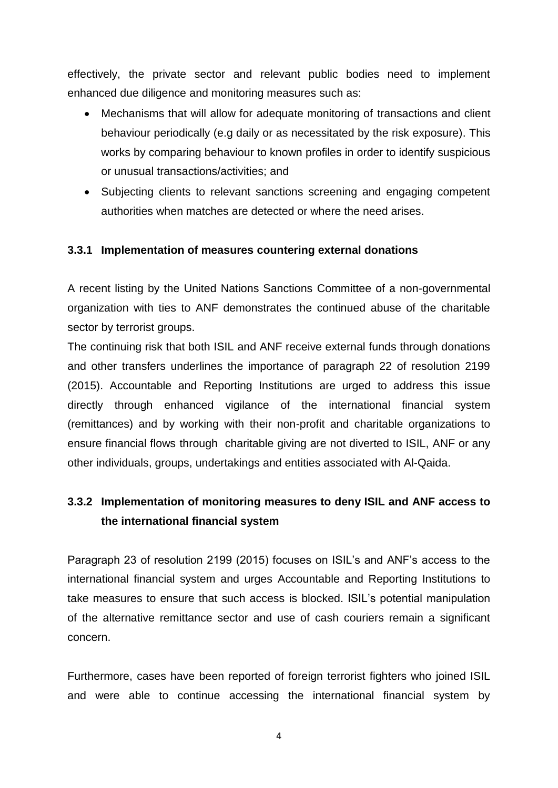effectively, the private sector and relevant public bodies need to implement enhanced due diligence and monitoring measures such as:

- Mechanisms that will allow for adequate monitoring of transactions and client behaviour periodically (e.g daily or as necessitated by the risk exposure). This works by comparing behaviour to known profiles in order to identify suspicious or unusual transactions/activities; and
- Subjecting clients to relevant sanctions screening and engaging competent authorities when matches are detected or where the need arises.

#### **3.3.1 Implementation of measures countering external donations**

A recent listing by the United Nations Sanctions Committee of a non-governmental organization with ties to ANF demonstrates the continued abuse of the charitable sector by terrorist groups.

The continuing risk that both ISIL and ANF receive external funds through donations and other transfers underlines the importance of paragraph 22 of resolution 2199 (2015). Accountable and Reporting Institutions are urged to address this issue directly through enhanced vigilance of the international financial system (remittances) and by working with their non-profit and charitable organizations to ensure financial flows through charitable giving are not diverted to ISIL, ANF or any other individuals, groups, undertakings and entities associated with Al-Qaida.

### **3.3.2 Implementation of monitoring measures to deny ISIL and ANF access to the international financial system**

Paragraph 23 of resolution 2199 (2015) focuses on ISIL's and ANF's access to the international financial system and urges Accountable and Reporting Institutions to take measures to ensure that such access is blocked. ISIL's potential manipulation of the alternative remittance sector and use of cash couriers remain a significant concern.

Furthermore, cases have been reported of foreign terrorist fighters who joined ISIL and were able to continue accessing the international financial system by

4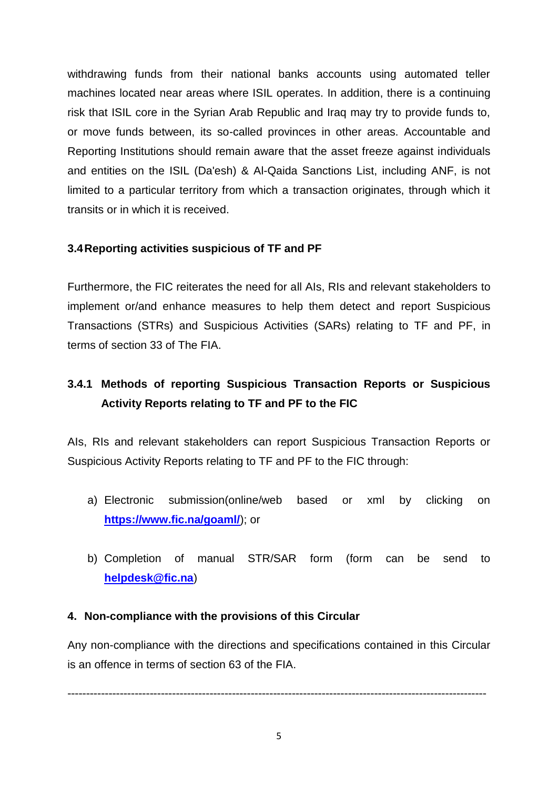withdrawing funds from their national banks accounts using automated teller machines located near areas where ISIL operates. In addition, there is a continuing risk that ISIL core in the Syrian Arab Republic and Iraq may try to provide funds to, or move funds between, its so-called provinces in other areas. Accountable and Reporting Institutions should remain aware that the asset freeze against individuals and entities on the ISIL (Da'esh) & Al-Qaida Sanctions List, including ANF, is not limited to a particular territory from which a transaction originates, through which it transits or in which it is received.

#### **3.4Reporting activities suspicious of TF and PF**

Furthermore, the FIC reiterates the need for all AIs, RIs and relevant stakeholders to implement or/and enhance measures to help them detect and report Suspicious Transactions (STRs) and Suspicious Activities (SARs) relating to TF and PF, in terms of section 33 of The FIA.

### **3.4.1 Methods of reporting Suspicious Transaction Reports or Suspicious Activity Reports relating to TF and PF to the FIC**

AIs, RIs and relevant stakeholders can report Suspicious Transaction Reports or Suspicious Activity Reports relating to TF and PF to the FIC through:

- a) Electronic submission(online/web based or xml by clicking on **<https://www.fic.na/goaml/>**); or
- b) Completion of manual STR/SAR form (form can be send to **[helpdesk@fic.na](mailto:helpdesk@fic.na)**)

#### **4. Non-compliance with the provisions of this Circular**

Any non-compliance with the directions and specifications contained in this Circular is an offence in terms of section 63 of the FIA.

----------------------------------------------------------------------------------------------------------------